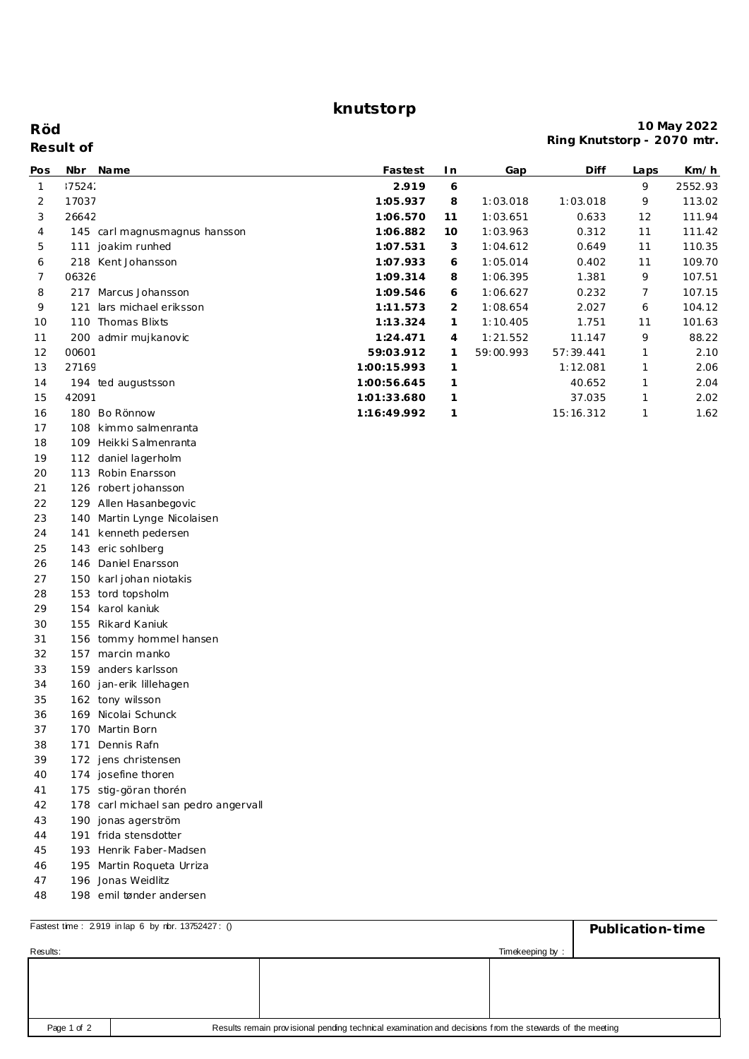**knutstorp**

## **Result of Röd**

## **10 May 2022 Ring Knutstorp - 2070 mtr.**

| Pos          |        | Nbr Name                             | Fastest     | I n | Gap       | Diff      | Laps | <u>Km/h</u> |
|--------------|--------|--------------------------------------|-------------|-----|-----------|-----------|------|-------------|
| $\mathbf{1}$ | :7524: |                                      | 2.919       | 6   |           |           | 9    | 2552.93     |
| 2            | 17037  |                                      | 1:05.937    | 8   | 1:03.018  | 1:03.018  | 9    | 113.02      |
| 3            | 26642  |                                      | 1:06.570    | 11  | 1:03.651  | 0.633     | 12   | 111.94      |
| 4            |        | 145 carl magnus magnus hansson       | 1:06.882    | 10  | 1:03.963  | 0.312     | 11   | 111.42      |
| 5            |        | 111 joakim runhed                    | 1:07.531    | 3   | 1:04.612  | 0.649     | 11   | 110.35      |
| 6            |        | 218 Kent Johansson                   | 1:07.933    | 6   | 1:05.014  | 0.402     | 11   | 109.70      |
| 7            | 06326  |                                      | 1:09.314    | 8   | 1:06.395  | 1.381     | 9    | 107.51      |
| 8            |        | 217 Marcus Johansson                 | 1:09.546    | 6   | 1:06.627  | 0.232     | 7    | 107.15      |
| 9            | 121    | lars michael eriksson                | 1:11.573    | 2   | 1:08.654  | 2.027     | 6    | 104.12      |
| 10           |        | 110 Thomas Blixts                    | 1:13.324    | 1   | 1:10.405  | 1.751     | 11   | 101.63      |
| 11           |        | 200 admir mujkanovic                 | 1:24.471    | 4   | 1:21.552  | 11.147    | 9    | 88.22       |
| 12           | 00601  |                                      | 59:03.912   | 1   | 59:00.993 | 57:39.441 | 1    | 2.10        |
| 13           | 27169  |                                      | 1:00:15.993 | 1   |           | 1:12.081  | 1    | 2.06        |
| 14           |        | 194 ted augustsson                   | 1:00:56.645 | 1   |           | 40.652    | 1    | 2.04        |
| 15           | 42091  |                                      | 1:01:33.680 | 1   |           | 37.035    | 1    | 2.02        |
| 16           |        | 180 Bo Rönnow                        | 1:16:49.992 | 1   |           | 15:16.312 | 1    | 1.62        |
| 17           |        | 108 kimmo salmenranta                |             |     |           |           |      |             |
| 18           |        | 109 Heikki Salmenranta               |             |     |           |           |      |             |
| 19           |        | 112 daniel lagerholm                 |             |     |           |           |      |             |
| 20           |        | 113 Robin Enarsson                   |             |     |           |           |      |             |
| 21           |        | 126 robert johansson                 |             |     |           |           |      |             |
| 22           |        | 129 Allen Hasanbegovic               |             |     |           |           |      |             |
| 23           |        | 140 Martin Lynge Nicolaisen          |             |     |           |           |      |             |
| 24           |        | 141 kenneth pedersen                 |             |     |           |           |      |             |
| 25           |        | 143 eric sohlberg                    |             |     |           |           |      |             |
| 26           |        | 146 Daniel Enarsson                  |             |     |           |           |      |             |
| 27           |        | 150 karl johan niotakis              |             |     |           |           |      |             |
| 28           |        | 153 tord topsholm                    |             |     |           |           |      |             |
| 29           | 154    | karol kaniuk                         |             |     |           |           |      |             |
| 30           |        | 155 Rikard Kaniuk                    |             |     |           |           |      |             |
| 31           |        | 156 tommy hommel hansen              |             |     |           |           |      |             |
| 32           |        | 157 marcin manko                     |             |     |           |           |      |             |
| 33           |        | 159 anders karlsson                  |             |     |           |           |      |             |
| 34           |        | 160 jan-erik lillehagen              |             |     |           |           |      |             |
| 35           |        | 162 tony wilsson                     |             |     |           |           |      |             |
| 36           |        | 169 Nicolai Schunck                  |             |     |           |           |      |             |
| 37           |        | 170 Martin Born                      |             |     |           |           |      |             |
| 38           |        | 171 Dennis Rafn                      |             |     |           |           |      |             |
| 39           |        | 172 jens christensen                 |             |     |           |           |      |             |
| 40           |        | 174 josefine thoren                  |             |     |           |           |      |             |
| 41           |        | 175 stig-göran thorén                |             |     |           |           |      |             |
| 42           |        | 178 carl michael san pedro angervall |             |     |           |           |      |             |
| 43           |        | 190 jonas agerström                  |             |     |           |           |      |             |
| 44           |        | 191 frida stensdotter                |             |     |           |           |      |             |
| 45           |        | 193 Henrik Faber-Madsen              |             |     |           |           |      |             |
| 46           |        | 195 Martin Roqueta Urriza            |             |     |           |           |      |             |
| 47           |        | 196 Jonas Weidlitz                   |             |     |           |           |      |             |
| 48           |        | 198 emil tønder andersen             |             |     |           |           |      |             |

| Fastest time: 2919 in lap 6 by rbr. 13752427: () | Publication-time                                                                                        |  |                 |  |  |
|--------------------------------------------------|---------------------------------------------------------------------------------------------------------|--|-----------------|--|--|
| Results:                                         |                                                                                                         |  | Timekeeping by: |  |  |
|                                                  |                                                                                                         |  |                 |  |  |
|                                                  |                                                                                                         |  |                 |  |  |
|                                                  |                                                                                                         |  |                 |  |  |
|                                                  |                                                                                                         |  |                 |  |  |
| Page 1 of 2                                      | Results remain provisional pending technical examination and decisions from the stewards of the meeting |  |                 |  |  |